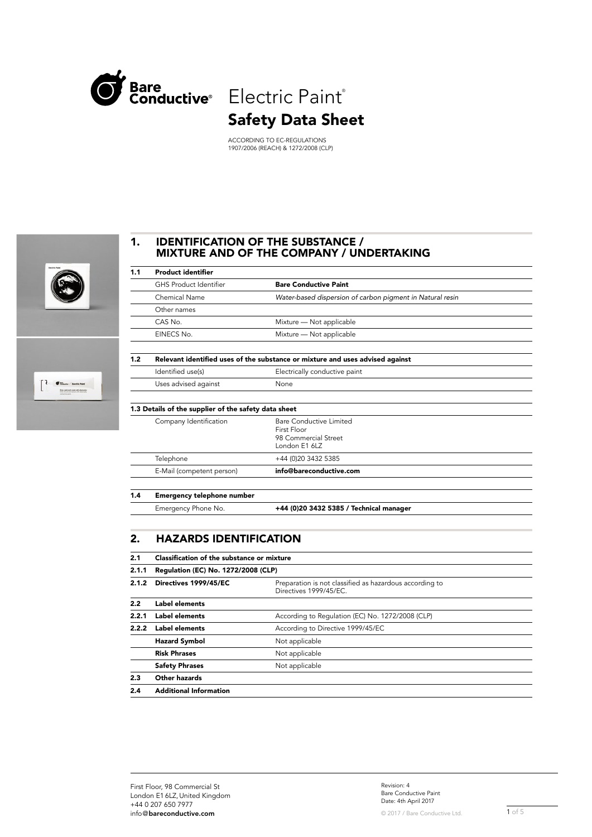

 $\overline{a}$ 

# Safety Data Sheet

ACCORDING TO EC-REGULATIONS 1907/2006 (REACH) & 1272/2008 (CLP)



#### 1. IDENTIFICATION OF THE SUBSTANCE / MIXTURE AND OF THE COMPANY / UNDERTAKING

| 1.1 | <b>Product identifier</b>                            |                                                                                 |
|-----|------------------------------------------------------|---------------------------------------------------------------------------------|
|     | <b>GHS Product Identifier</b>                        | <b>Bare Conductive Paint</b>                                                    |
|     | Chemical Name                                        | Water-based dispersion of carbon pigment in Natural resin                       |
|     | Other names                                          |                                                                                 |
|     | CAS No.                                              | Mixture - Not applicable                                                        |
|     | EINECS No.                                           | Mixture - Not applicable                                                        |
| 1.2 |                                                      | Relevant identified uses of the substance or mixture and uses advised against   |
|     | Identified use(s)                                    | Electrically conductive paint                                                   |
|     | Uses advised against                                 | None                                                                            |
|     | 1.3 Details of the supplier of the safety data sheet |                                                                                 |
|     | Company Identification                               | Bare Conductive Limited<br>First Floor<br>98 Commercial Street<br>London E1 6LZ |
|     | Telephone                                            | +44 (0)20 3432 5385                                                             |
|     | E-Mail (competent person)                            | info@bareconductive.com                                                         |
| 1.4 | <b>Emergency telephone number</b>                    |                                                                                 |
|     | Emergency Phone No.                                  | +44 (0)20 3432 5385 / Technical manager                                         |

# 2. HAZARDS IDENTIFICATION

| 2.1   | Classification of the substance or mixture |                                                                                   |  |
|-------|--------------------------------------------|-----------------------------------------------------------------------------------|--|
| 2.1.1 | Regulation (EC) No. 1272/2008 (CLP)        |                                                                                   |  |
| 2.1.2 | Directives 1999/45/EC                      | Preparation is not classified as hazardous according to<br>Directives 1999/45/EC. |  |
| 2.2   | Label elements                             |                                                                                   |  |
| 2.2.1 | Label elements                             | According to Regulation (EC) No. 1272/2008 (CLP)                                  |  |
| 2.2.2 | Label elements                             | According to Directive 1999/45/EC                                                 |  |
|       | <b>Hazard Symbol</b>                       | Not applicable                                                                    |  |
|       | <b>Risk Phrases</b>                        | Not applicable                                                                    |  |
|       | <b>Safety Phrases</b>                      | Not applicable                                                                    |  |
| 2.3   | Other hazards                              |                                                                                   |  |
| 2.4   | <b>Additional Information</b>              |                                                                                   |  |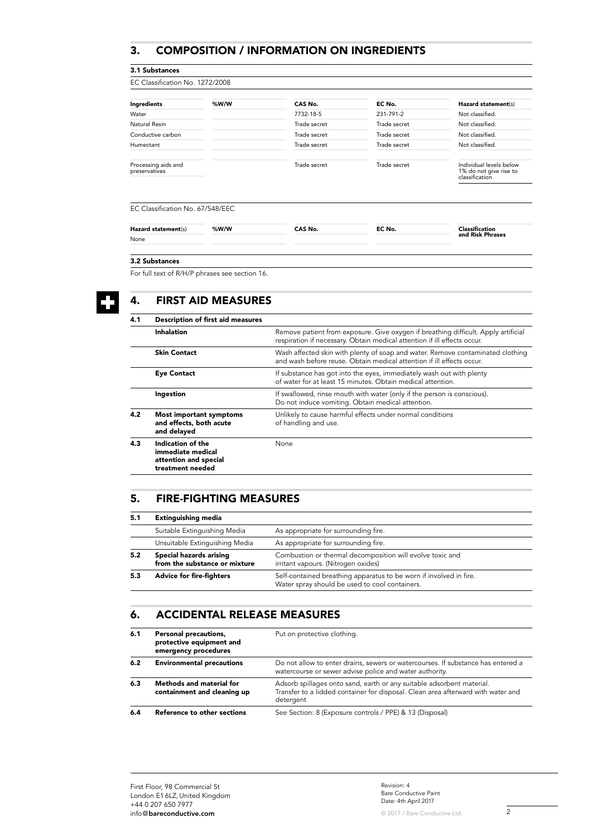#### 3. COMPOSITION / INFORMATION ON INGREDIENTS

#### 3.1 Substances

| EC Classification No. 1272/2008 |              |              |                                                                     |  |
|---------------------------------|--------------|--------------|---------------------------------------------------------------------|--|
| %W/W                            | CAS No.      | EC No.       | Hazard statement(s)                                                 |  |
|                                 | 7732-18-5    | 231-791-2    | Not classified.                                                     |  |
|                                 | Trade secret | Trade secret | Not classified.                                                     |  |
|                                 | Trade secret | Trade secret | Not classified.                                                     |  |
|                                 | Trade secret | Trade secret | Not classified.                                                     |  |
|                                 | Trade secret | Trade secret | Individual levels below<br>1% do not give rise to<br>classification |  |
|                                 |              |              |                                                                     |  |

#### EC Classification No. 67/548/EEC

| Hazard statement(s) | %W/W | CAS No. | EC No. | Classification   |
|---------------------|------|---------|--------|------------------|
| None                |      |         |        | and Risk Phrases |
|                     |      |         |        |                  |

#### 3.2 Substances

For full text of R/H/P phrases see section 16.

# 4. FIRST AID MEASURES

| 4.1 | <b>Description of first aid measures</b>                                            |                                                                                                                                                                |
|-----|-------------------------------------------------------------------------------------|----------------------------------------------------------------------------------------------------------------------------------------------------------------|
|     | Inhalation                                                                          | Remove patient from exposure. Give oxygen if breathing difficult. Apply artificial<br>respiration if necessary. Obtain medical attention if ill effects occur. |
|     | <b>Skin Contact</b>                                                                 | Wash affected skin with plenty of soap and water. Remove contaminated clothing<br>and wash before reuse. Obtain medical attention if ill effects occur.        |
|     | <b>Eye Contact</b>                                                                  | If substance has got into the eyes, immediately wash out with plenty<br>of water for at least 15 minutes. Obtain medical attention.                            |
|     | Ingestion                                                                           | If swallowed, rinse mouth with water (only if the person is conscious).<br>Do not induce vomiting. Obtain medical attention.                                   |
| 4.2 | <b>Most important symptoms</b><br>and effects, both acute<br>and delayed            | Unlikely to cause harmful effects under normal conditions<br>of handling and use.                                                                              |
| 4.3 | Indication of the<br>immediate medical<br>attention and special<br>treatment needed | None                                                                                                                                                           |

#### 5. FIRE-FIGHTING MEASURES

| 5.1 | <b>Extinguishing media</b>                               |                                                                                                                      |
|-----|----------------------------------------------------------|----------------------------------------------------------------------------------------------------------------------|
|     | Suitable Extinguishing Media                             | As appropriate for surrounding fire.                                                                                 |
|     | Unsuitable Extinguishing Media                           | As appropriate for surrounding fire.                                                                                 |
| 5.2 | Special hazards arising<br>from the substance or mixture | Combustion or thermal decomposition will evolve toxic and<br>irritant vapours. (Nitrogen oxides)                     |
|     | <b>Advice for fire-fighters</b>                          | Self-contained breathing apparatus to be worn if involved in fire.<br>Water spray should be used to cool containers. |

## 6. ACCIDENTAL RELEASE MEASURES

| 6.1 | Personal precautions,<br>protective equipment and<br>emergency procedures | Put on protective clothing.                                                                                                                                            |
|-----|---------------------------------------------------------------------------|------------------------------------------------------------------------------------------------------------------------------------------------------------------------|
| 6.2 | <b>Environmental precautions</b>                                          | Do not allow to enter drains, sewers or watercourses. If substance has entered a<br>watercourse or sewer advise police and water authority.                            |
| 6.3 | <b>Methods and material for</b><br>containment and cleaning up            | Adsorb spillages onto sand, earth or any suitable adsorbent material.<br>Transfer to a lidded container for disposal. Clean area afterward with water and<br>detergent |
| 6.4 | Reference to other sections                                               | See Section: 8 (Exposure controls / PPE) & 13 (Disposal)                                                                                                               |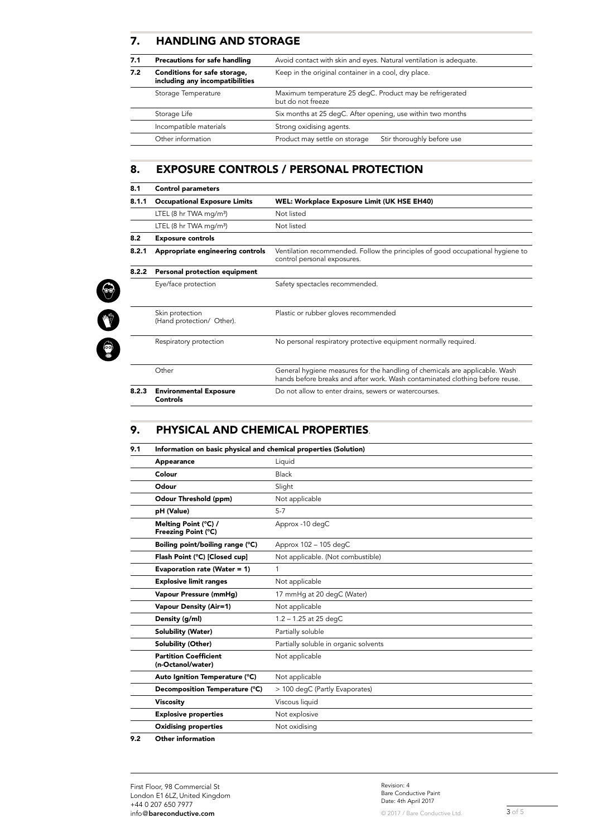#### 7. HANDLING AND STORAGE

| 7.1 | Precautions for safe handling                                   | Avoid contact with skin and eyes. Natural ventilation is adequate.            |  |
|-----|-----------------------------------------------------------------|-------------------------------------------------------------------------------|--|
| 7.2 | Conditions for safe storage,<br>including any incompatibilities | Keep in the original container in a cool, dry place.                          |  |
|     | Storage Temperature                                             | Maximum temperature 25 degC. Product may be refrigerated<br>but do not freeze |  |
|     | Storage Life                                                    | Six months at 25 degC. After opening, use within two months                   |  |
|     | Incompatible materials                                          | Strong oxidising agents.                                                      |  |
|     | Other information                                               | Product may settle on storage<br>Stir thoroughly before use                   |  |

#### 8. EXPOSURE CONTROLS / PERSONAL PROTECTION

| 8.1   | <b>Control parameters</b>                        |                                                                                                                                                             |  |
|-------|--------------------------------------------------|-------------------------------------------------------------------------------------------------------------------------------------------------------------|--|
| 8.1.1 | <b>Occupational Exposure Limits</b>              | <b>WEL: Workplace Exposure Limit (UK HSE EH40)</b>                                                                                                          |  |
|       | LTEL (8 hr TWA mg/m <sup>3</sup> )               | Not listed                                                                                                                                                  |  |
|       | LTEL $(8 \text{ hr} \text{ TWA} \text{ mg/m}^3)$ | Not listed                                                                                                                                                  |  |
| 8.2   | <b>Exposure controls</b>                         |                                                                                                                                                             |  |
| 8.2.1 | Appropriate engineering controls                 | Ventilation recommended. Follow the principles of good occupational hygiene to<br>control personal exposures.                                               |  |
| 8.2.2 | Personal protection equipment                    |                                                                                                                                                             |  |
|       | Eye/face protection                              | Safety spectacles recommended.                                                                                                                              |  |
|       | Skin protection<br>(Hand protection/ Other).     | Plastic or rubber gloves recommended                                                                                                                        |  |
|       | Respiratory protection                           | No personal respiratory protective equipment normally required.                                                                                             |  |
|       | Other                                            | General hygiene measures for the handling of chemicals are applicable. Wash<br>hands before breaks and after work. Wash contaminated clothing before reuse. |  |
| 8.2.3 | <b>Environmental Exposure</b><br><b>Controls</b> | Do not allow to enter drains, sewers or watercourses.                                                                                                       |  |

#### 9. PHYSICAL AND CHEMICAL PROPERTIES.

| 9.1 | Information on basic physical and chemical properties (Solution) |                                       |  |
|-----|------------------------------------------------------------------|---------------------------------------|--|
|     | Appearance                                                       | Liquid                                |  |
|     | Colour                                                           | Black                                 |  |
|     | Odour                                                            | Slight                                |  |
|     | Odour Threshold (ppm)                                            | Not applicable                        |  |
|     | pH (Value)                                                       | $5 - 7$                               |  |
|     | Melting Point (°C) /<br>Freezing Point (°C)                      | Approx -10 degC                       |  |
|     | Boiling point/boiling range (°C)                                 | Approx 102 - 105 degC                 |  |
|     | Flash Point (°C) [Closed cup]                                    | Not applicable. (Not combustible)     |  |
|     | Evaporation rate (Water = 1)                                     | $\mathbf{1}$                          |  |
|     | <b>Explosive limit ranges</b>                                    | Not applicable                        |  |
|     | Vapour Pressure (mmHg)                                           | 17 mmHg at 20 degC (Water)            |  |
|     | <b>Vapour Density (Air=1)</b>                                    | Not applicable                        |  |
|     | Density (g/ml)                                                   | $1.2 - 1.25$ at 25 degC               |  |
|     | <b>Solubility (Water)</b>                                        | Partially soluble                     |  |
|     | Solubility (Other)                                               | Partially soluble in organic solvents |  |
|     | <b>Partition Coefficient</b><br>(n-Octanol/water)                | Not applicable                        |  |
|     | Auto Ignition Temperature (°C)                                   | Not applicable                        |  |
|     | Decomposition Temperature (°C)                                   | > 100 degC (Partly Evaporates)        |  |
|     | <b>Viscosity</b>                                                 | Viscous liquid                        |  |
|     | <b>Explosive properties</b>                                      | Not explosive                         |  |
|     | <b>Oxidising properties</b>                                      | Not oxidising                         |  |
|     | $\sim$ $\sim$ $\sim$ $\sim$ $\sim$                               |                                       |  |

9.2 Other information

3 3 3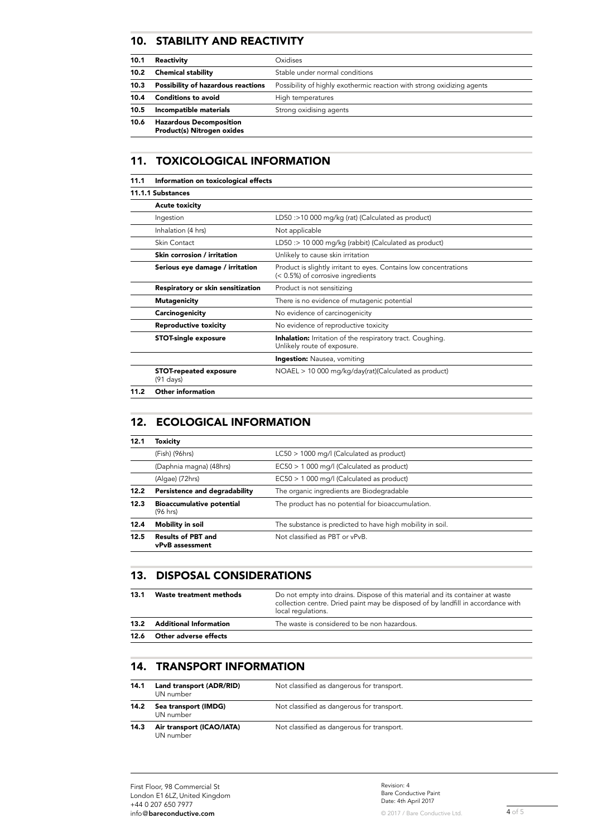#### 10. STABILITY AND REACTIVITY

| 10.1 | Reactivity                                                   | Oxidises                                                               |
|------|--------------------------------------------------------------|------------------------------------------------------------------------|
| 10.2 | <b>Chemical stability</b>                                    | Stable under normal conditions                                         |
| 10.3 | <b>Possibility of hazardous reactions</b>                    | Possibility of highly exothermic reaction with strong oxidizing agents |
| 10.4 | <b>Conditions to avoid</b>                                   | High temperatures                                                      |
| 10.5 | Incompatible materials                                       | Strong oxidising agents                                                |
| 10.6 | <b>Hazardous Decomposition</b><br>Product(s) Nitrogen oxides |                                                                        |

# 11. TOXICOLOGICAL INFORMATION

| 11.1 | Information on toxicological effects                 |                                                                                                        |
|------|------------------------------------------------------|--------------------------------------------------------------------------------------------------------|
|      | 11.1.1 Substances                                    |                                                                                                        |
|      | <b>Acute toxicity</b>                                |                                                                                                        |
|      | Ingestion                                            | LD50 :>10 000 mg/kg (rat) (Calculated as product)                                                      |
|      | Inhalation (4 hrs)                                   | Not applicable                                                                                         |
|      | Skin Contact                                         | LD50 :> 10 000 mg/kg (rabbit) (Calculated as product)                                                  |
|      | Skin corrosion / irritation                          | Unlikely to cause skin irritation                                                                      |
|      | Serious eye damage / irritation                      | Product is slightly irritant to eyes. Contains low concentrations<br>(< 0.5%) of corrosive ingredients |
|      | Respiratory or skin sensitization                    | Product is not sensitizing                                                                             |
|      | <b>Mutagenicity</b>                                  | There is no evidence of mutagenic potential                                                            |
|      | Carcinogenicity                                      | No evidence of carcinogenicity                                                                         |
|      | <b>Reproductive toxicity</b>                         | No evidence of reproductive toxicity                                                                   |
|      | <b>STOT-single exposure</b>                          | <b>Inhalation:</b> Irritation of the respiratory tract. Coughing.<br>Unlikely route of exposure.       |
|      |                                                      | <b>Ingestion:</b> Nausea, vomiting                                                                     |
|      | <b>STOT-repeated exposure</b><br>$(91 \text{ days})$ | $NOAEL > 10000 mg/kg/day(rat)(Calculated as product)$                                                  |
| 11.2 | Other information                                    |                                                                                                        |

#### 12. ECOLOGICAL INFORMATION

| 12.1 | Toxicity                                          |                                                           |
|------|---------------------------------------------------|-----------------------------------------------------------|
|      | (Fish) (96hrs)                                    | $LC50 > 1000$ mg/l (Calculated as product)                |
|      | (Daphnia magna) (48hrs)                           | $EC50 > 1000$ mg/l (Calculated as product)                |
|      | (Algae) (72hrs)                                   | EC50 > 1 000 mg/l (Calculated as product)                 |
| 12.2 | Persistence and degradability                     | The organic ingredients are Biodegradable                 |
| 12.3 | <b>Bioaccumulative potential</b><br>$(96$ hrs $)$ | The product has no potential for bioaccumulation.         |
| 12.4 | Mobility in soil                                  | The substance is predicted to have high mobility in soil. |
| 12.5 | <b>Results of PBT and</b><br>vPvB assessment      | Not classified as PBT or vPvB.                            |

#### 13. DISPOSAL CONSIDERATIONS

| 12.6 | Other adverse effects         |                                                                                                                                                                                         |
|------|-------------------------------|-----------------------------------------------------------------------------------------------------------------------------------------------------------------------------------------|
| 13.2 | <b>Additional Information</b> | The waste is considered to be non hazardous.                                                                                                                                            |
| 13.1 | Waste treatment methods       | Do not empty into drains. Dispose of this material and its container at waste<br>collection centre. Dried paint may be disposed of by landfill in accordance with<br>local regulations. |

#### 14. TRANSPORT INFORMATION

| 14.1 | Land transport (ADR/RID)<br>UN number  | Not classified as dangerous for transport. |
|------|----------------------------------------|--------------------------------------------|
| 14.2 | Sea transport (IMDG)<br>UN number      | Not classified as dangerous for transport. |
| 14.3 | Air transport (ICAO/IATA)<br>UN number | Not classified as dangerous for transport. |